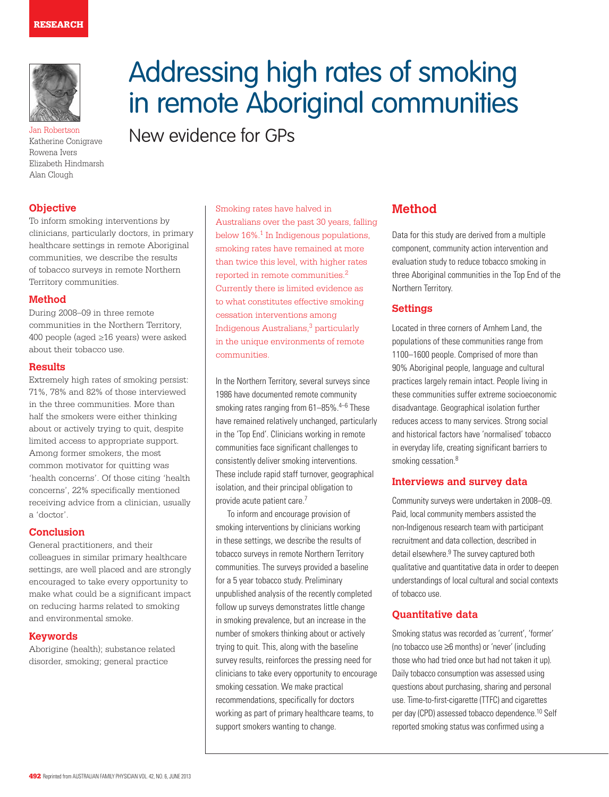

Katherine Conigrave Rowena Ivers Elizabeth Hindmarsh Alan Clough

# **Objective**

To inform smoking interventions by clinicians, particularly doctors, in primary healthcare settings in remote Aboriginal communities, we describe the results of tobacco surveys in remote Northern Territory communities.

#### **Method**

During 2008–09 in three remote communities in the Northern Territory, 400 people (aged ≥16 years) were asked about their tobacco use.

#### **Results**

Extremely high rates of smoking persist: 71%, 78% and 82% of those interviewed in the three communities. More than half the smokers were either thinking about or actively trying to quit, despite limited access to appropriate support. Among former smokers, the most common motivator for quitting was 'health concerns'. Of those citing 'health concerns', 22% specifically mentioned receiving advice from a clinician, usually a 'doctor'.

#### **Conclusion**

General practitioners, and their colleagues in similar primary healthcare settings, are well placed and are strongly encouraged to take every opportunity to make what could be a significant impact on reducing harms related to smoking and environmental smoke.

#### **Keywords**

Aborigine (health); substance related disorder, smoking; general practice

# Addressing high rates of smoking in remote Aboriginal communities Jan Robertson<br>Katherine Conjorave **New evidence for GPs**

Smoking rates have halved in Australians over the past 30 years, falling below 16%.1 In Indigenous populations, smoking rates have remained at more than twice this level, with higher rates reported in remote communities.2 Currently there is limited evidence as to what constitutes effective smoking cessation interventions among Indigenous Australians,3 particularly in the unique environments of remote communities.

In the Northern Territory, several surveys since 1986 have documented remote community smoking rates ranging from 61-85%.<sup>4-6</sup> These have remained relatively unchanged, particularly in the 'Top End'. Clinicians working in remote communities face significant challenges to consistently deliver smoking interventions. These include rapid staff turnover, geographical isolation, and their principal obligation to provide acute patient care.<sup>7</sup>

To inform and encourage provision of smoking interventions by clinicians working in these settings, we describe the results of tobacco surveys in remote Northern Territory communities. The surveys provided a baseline for a 5 year tobacco study. Preliminary unpublished analysis of the recently completed follow up surveys demonstrates little change in smoking prevalence, but an increase in the number of smokers thinking about or actively trying to quit. This, along with the baseline survey results, reinforces the pressing need for clinicians to take every opportunity to encourage smoking cessation. We make practical recommendations, specifically for doctors working as part of primary healthcare teams, to support smokers wanting to change.

# **Method**

Data for this study are derived from a multiple component, community action intervention and evaluation study to reduce tobacco smoking in three Aboriginal communities in the Top End of the Northern Territory.

# **Settings**

Located in three corners of Arnhem Land, the populations of these communities range from 1100–1600 people. Comprised of more than 90% Aboriginal people, language and cultural practices largely remain intact. People living in these communities suffer extreme socioeconomic disadvantage. Geographical isolation further reduces access to many services. Strong social and historical factors have 'normalised' tobacco in everyday life, creating significant barriers to smoking cessation.<sup>8</sup>

## **Interviews and survey data**

Community surveys were undertaken in 2008–09. Paid, local community members assisted the non-Indigenous research team with participant recruitment and data collection, described in detail elsewhere.<sup>9</sup> The survey captured both qualitative and quantitative data in order to deepen understandings of local cultural and social contexts of tobacco use.

# **Quantitative data**

Smoking status was recorded as 'current', 'former' (no tobacco use ≥6 months) or 'never' (including those who had tried once but had not taken it up). Daily tobacco consumption was assessed using questions about purchasing, sharing and personal use. Time-to-first-cigarette (TTFC) and cigarettes per day (CPD) assessed tobacco dependence.10 Self reported smoking status was confirmed using a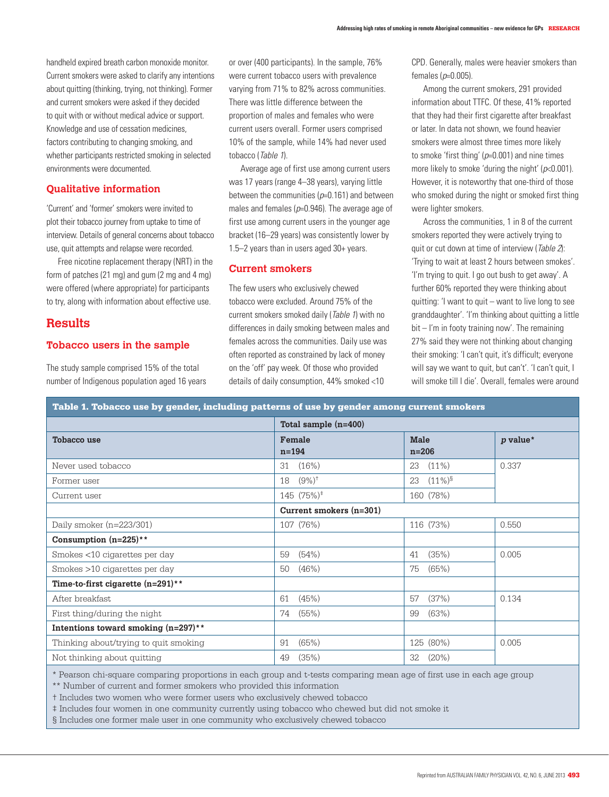handheld expired breath carbon monoxide monitor. Current smokers were asked to clarify any intentions about quitting (thinking, trying, not thinking). Former and current smokers were asked if they decided to quit with or without medical advice or support. Knowledge and use of cessation medicines, factors contributing to changing smoking, and whether participants restricted smoking in selected environments were documented.

## **Qualitative information**

'Current' and 'former' smokers were invited to plot their tobacco journey from uptake to time of interview. Details of general concerns about tobacco use, quit attempts and relapse were recorded.

Free nicotine replacement therapy (NRT) in the form of patches (21 mg) and gum (2 mg and 4 mg) were offered (where appropriate) for participants to try, along with information about effective use.

# **Results**

#### **Tobacco users in the sample**

The study sample comprised 15% of the total number of Indigenous population aged 16 years or over (400 participants). In the sample, 76% were current tobacco users with prevalence varying from 71% to 82% across communities. There was little difference between the proportion of males and females who were current users overall. Former users comprised 10% of the sample, while 14% had never used tobacco (Table 1).

Average age of first use among current users was 17 years (range 4–38 years), varying little between the communities  $(p=0.161)$  and between males and females ( $p=0.946$ ). The average age of first use among current users in the younger age bracket (16–29 years) was consistently lower by 1.5–2 years than in users aged 30+ years.

## **Current smokers**

The few users who exclusively chewed tobacco were excluded. Around 75% of the current smokers smoked daily (Table 1) with no differences in daily smoking between males and females across the communities. Daily use was often reported as constrained by lack of money on the 'off' pay week. Of those who provided details of daily consumption, 44% smoked <10

CPD. Generally, males were heavier smokers than females  $(p=0.005)$ .

Among the current smokers, 291 provided information about TTFC. Of these, 41% reported that they had their first cigarette after breakfast or later. In data not shown, we found heavier smokers were almost three times more likely to smoke 'first thing'  $(p=0.001)$  and nine times more likely to smoke 'during the night' ( $p$ <0.001). However, it is noteworthy that one-third of those who smoked during the night or smoked first thing were lighter smokers.

Across the communities, 1 in 8 of the current smokers reported they were actively trying to quit or cut down at time of interview (Table 2): 'Trying to wait at least 2 hours between smokes'. 'I'm trying to quit. I go out bush to get away'. A further 60% reported they were thinking about quitting: 'I want to quit – want to live long to see granddaughter'. 'I'm thinking about quitting a little bit – I'm in footy training now'. The remaining 27% said they were not thinking about changing their smoking: 'I can't quit, it's difficult; everyone will say we want to quit, but can't'. 'I can't quit, I will smoke till I die'. Overall, females were around

| Table 1. Tobacco use by gender, including patterns of use by gender among current smokers |  |  |  |  |  |  |
|-------------------------------------------------------------------------------------------|--|--|--|--|--|--|
|-------------------------------------------------------------------------------------------|--|--|--|--|--|--|

|                                        | Total sample $(n=400)$    |                        |          |
|----------------------------------------|---------------------------|------------------------|----------|
| <b>Tobacco use</b>                     | Female<br>$n = 194$       | <b>Male</b><br>$n=206$ | p value* |
| Never used tobacco                     | $31(16\%)$                | $(11\%)$<br>23         | 0.337    |
| Former user                            | $18$ $(9\%)^{\dagger}$    | $(11\%)^{\S}$<br>23    |          |
| Current user                           | $145$ $(75\%)^{\ddagger}$ | 160 (78%)              |          |
|                                        | Current smokers $(n=301)$ |                        |          |
| Daily smoker $(n=223/301)$             | 107 (76%)                 | 116 (73%)              | 0.550    |
| Consumption $(n=225)$ **               |                           |                        |          |
| Smokes <10 cigarettes per day          | (54%)<br>59               | (35%)<br>41            | 0.005    |
| Smokes >10 cigarettes per day          | $(46\%)$<br>50            | (65%)<br>75            |          |
| Time-to-first cigarette $(n=291)$ **   |                           |                        |          |
| After breakfast                        | (45%)<br>61               | (37%)<br>57            | 0.134    |
| First thing/during the night           | 74<br>(55%)               | (63%)<br>99            |          |
| Intentions toward smoking $(n=297)$ ** |                           |                        |          |
| Thinking about/trying to quit smoking  | 91<br>(65%)               | 125 (80%)              | 0.005    |
| Not thinking about quitting            | (35%)<br>49               | 32<br>$(20\%)$         |          |

\* Pearson chi-square comparing proportions in each group and t-tests comparing mean age of first use in each age group

\*\* Number of current and former smokers who provided this information

† Includes two women who were former users who exclusively chewed tobacco

‡ Includes four women in one community currently using tobacco who chewed but did not smoke it

§ Includes one former male user in one community who exclusively chewed tobacco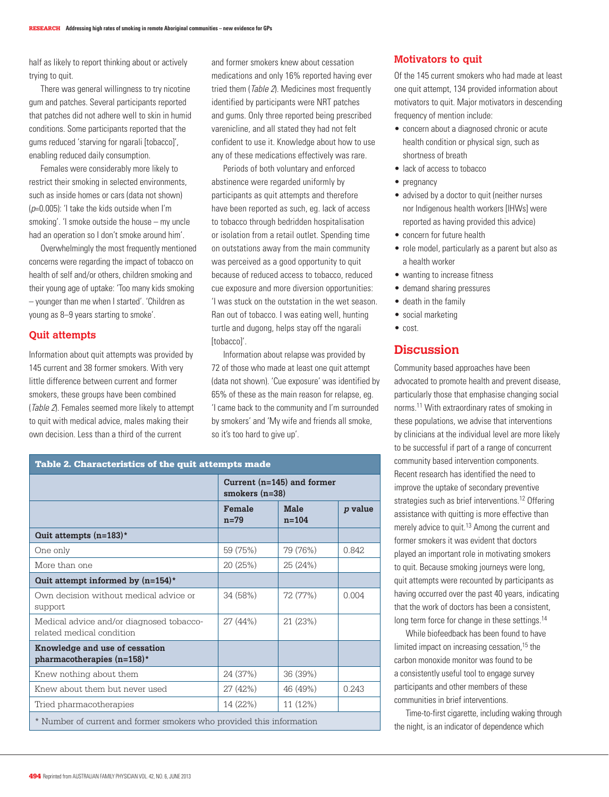half as likely to report thinking about or actively trying to quit.

There was general willingness to try nicotine gum and patches. Several participants reported that patches did not adhere well to skin in humid conditions. Some participants reported that the gums reduced 'starving for ngarali [tobacco]', enabling reduced daily consumption.

Females were considerably more likely to restrict their smoking in selected environments, such as inside homes or cars (data not shown)  $(p=0.005)$ : 'I take the kids outside when I'm smoking'. 'I smoke outside the house – my uncle had an operation so I don't smoke around him'.

Overwhelmingly the most frequently mentioned concerns were regarding the impact of tobacco on health of self and/or others, children smoking and their young age of uptake: 'Too many kids smoking – younger than me when I started'. 'Children as young as 8–9 years starting to smoke'.

# **Quit attempts**

Information about quit attempts was provided by 145 current and 38 former smokers. With very little difference between current and former smokers, these groups have been combined (Table 2). Females seemed more likely to attempt to quit with medical advice, males making their own decision. Less than a third of the current

and former smokers knew about cessation medications and only 16% reported having ever tried them (*Table 2*). Medicines most frequently identified by participants were NRT patches and gums. Only three reported being prescribed varenicline, and all stated they had not felt confident to use it. Knowledge about how to use any of these medications effectively was rare.

Periods of both voluntary and enforced abstinence were regarded uniformly by participants as quit attempts and therefore have been reported as such, eg. lack of access to tobacco through bedridden hospitalisation or isolation from a retail outlet. Spending time on outstations away from the main community was perceived as a good opportunity to quit because of reduced access to tobacco, reduced cue exposure and more diversion opportunities: 'I was stuck on the outstation in the wet season. Ran out of tobacco. I was eating well, hunting turtle and dugong, helps stay off the ngarali [tobacco]'

Information about relapse was provided by 72 of those who made at least one quit attempt (data not shown). 'Cue exposure' was identified by 65% of these as the main reason for relapse, eg. 'I came back to the community and I'm surrounded by smokers' and 'My wife and friends all smoke, so it's too hard to give up'.

| Table 2. Characteristics of the quit attempts made                    |                                                  |                          |                |  |
|-----------------------------------------------------------------------|--------------------------------------------------|--------------------------|----------------|--|
|                                                                       | Current $(n=145)$ and former<br>smokers $(n=38)$ |                          |                |  |
|                                                                       | Female<br>$n=79$                                 | <b>Male</b><br>$n = 104$ | <i>p</i> value |  |
| Quit attempts $(n=183)^*$                                             |                                                  |                          |                |  |
| One only                                                              | 59 (75%)                                         | 79 (76%)                 | 0.842          |  |
| More than one                                                         | 20 (25%)                                         | 25 (24%)                 |                |  |
| Quit attempt informed by $(n=154)^*$                                  |                                                  |                          |                |  |
| Own decision without medical advice or<br>support                     | 34 (58%)                                         | 72 (77%)                 | 0.004          |  |
| Medical advice and/or diagnosed tobacco-<br>related medical condition | 27 (44%)                                         | 21 (23%)                 |                |  |
| Knowledge and use of cessation<br>pharmacotherapies $(n=158)^*$       |                                                  |                          |                |  |
| Knew nothing about them                                               | 24 (37%)                                         | 36 (39%)                 |                |  |
| Knew about them but never used                                        | 27 (42%)                                         | 46 (49%)                 | 0.243          |  |
| Tried pharmacotherapies                                               | 14 (22%)                                         | 11 (12%)                 |                |  |
| * Number of current and former smokers who provided this information  |                                                  |                          |                |  |

## **Motivators to quit**

Of the 145 current smokers who had made at least one quit attempt, 134 provided information about motivators to quit. Major motivators in descending frequency of mention include:

- concern about a diagnosed chronic or acute health condition or physical sign, such as shortness of breath
- lack of access to tobacco
- pregnancy
- advised by a doctor to quit (neither nurses nor Indigenous health workers [IHWs] were reported as having provided this advice)
- • concern for future health
- role model, particularly as a parent but also as a health worker
- wanting to increase fitness
- demand sharing pressures
- death in the family
- social marketing
- • cost.

# **Discussion**

Community based approaches have been advocated to promote health and prevent disease, particularly those that emphasise changing social norms.11 With extraordinary rates of smoking in these populations, we advise that interventions by clinicians at the individual level are more likely to be successful if part of a range of concurrent community based intervention components. Recent research has identified the need to improve the uptake of secondary preventive strategies such as brief interventions.<sup>12</sup> Offering assistance with quitting is more effective than merely advice to quit.<sup>13</sup> Among the current and former smokers it was evident that doctors played an important role in motivating smokers to quit. Because smoking journeys were long, quit attempts were recounted by participants as having occurred over the past 40 years, indicating that the work of doctors has been a consistent, long term force for change in these settings.<sup>14</sup>

While biofeedback has been found to have limited impact on increasing cessation,<sup>15</sup> the carbon monoxide monitor was found to be a consistently useful tool to engage survey participants and other members of these communities in brief interventions.

Time-to-first cigarette, including waking through the night, is an indicator of dependence which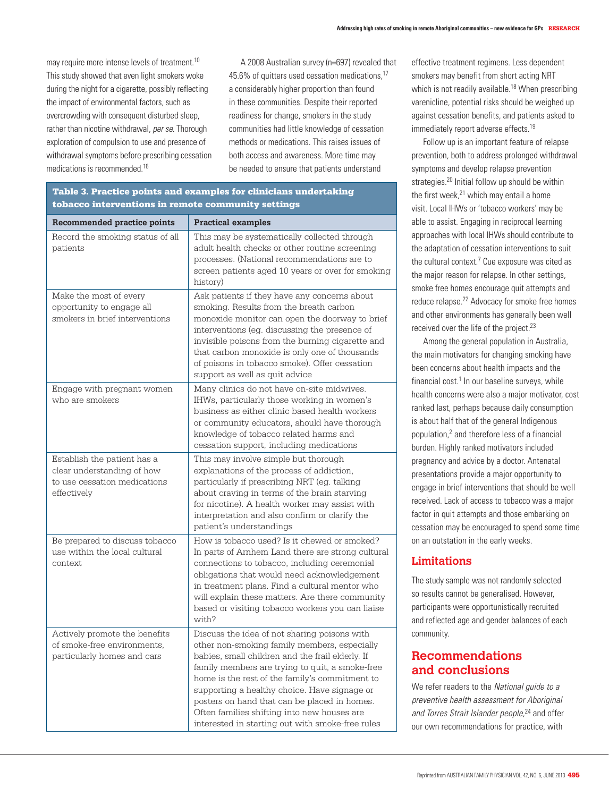may require more intense levels of treatment.<sup>10</sup> This study showed that even light smokers woke during the night for a cigarette, possibly reflecting the impact of environmental factors, such as overcrowding with consequent disturbed sleep, rather than nicotine withdrawal, per se. Thorough exploration of compulsion to use and presence of withdrawal symptoms before prescribing cessation medications is recommended <sup>16</sup>

A 2008 Australian survey (n=697) revealed that 45.6% of quitters used cessation medications,17 a considerably higher proportion than found in these communities. Despite their reported readiness for change, smokers in the study communities had little knowledge of cessation methods or medications. This raises issues of both access and awareness. More time may be needed to ensure that patients understand

| Recommended practice points                                                                              | <b>Practical examples</b>                                                                                                                                                                                                                                                                                                                                                                                                                                |  |
|----------------------------------------------------------------------------------------------------------|----------------------------------------------------------------------------------------------------------------------------------------------------------------------------------------------------------------------------------------------------------------------------------------------------------------------------------------------------------------------------------------------------------------------------------------------------------|--|
| Record the smoking status of all<br>patients                                                             | This may be systematically collected through<br>adult health checks or other routine screening<br>processes. (National recommendations are to<br>screen patients aged 10 years or over for smoking<br>history)                                                                                                                                                                                                                                           |  |
| Make the most of every<br>opportunity to engage all<br>smokers in brief interventions                    | Ask patients if they have any concerns about<br>smoking. Results from the breath carbon<br>monoxide monitor can open the doorway to brief<br>interventions (eg. discussing the presence of<br>invisible poisons from the burning cigarette and<br>that carbon monoxide is only one of thousands<br>of poisons in tobacco smoke). Offer cessation<br>support as well as quit advice                                                                       |  |
| Engage with pregnant women<br>who are smokers                                                            | Many clinics do not have on-site midwives.<br>IHWs, particularly those working in women's<br>business as either clinic based health workers<br>or community educators, should have thorough<br>knowledge of tobacco related harms and<br>cessation support, including medications                                                                                                                                                                        |  |
| Establish the patient has a<br>clear understanding of how<br>to use cessation medications<br>effectively | This may involve simple but thorough<br>explanations of the process of addiction,<br>particularly if prescribing NRT (eg. talking<br>about craving in terms of the brain starving<br>for nicotine). A health worker may assist with<br>interpretation and also confirm or clarify the<br>patient's understandings                                                                                                                                        |  |
| Be prepared to discuss tobacco<br>use within the local cultural<br>context.                              | How is tobacco used? Is it chewed or smoked?<br>In parts of Arnhem Land there are strong cultural<br>connections to tobacco, including ceremonial<br>obligations that would need acknowledgement<br>in treatment plans. Find a cultural mentor who<br>will explain these matters. Are there community<br>based or visiting tobacco workers you can liaise<br>with?                                                                                       |  |
| Actively promote the benefits<br>of smoke-free environments.<br>particularly homes and cars              | Discuss the idea of not sharing poisons with<br>other non-smoking family members, especially<br>babies, small children and the frail elderly. If<br>family members are trying to quit, a smoke-free<br>home is the rest of the family's commitment to<br>supporting a healthy choice. Have signage or<br>posters on hand that can be placed in homes.<br>Often families shifting into new houses are<br>interested in starting out with smoke-free rules |  |

# Table 3. Practice points and examples for clinicians undertaking tobacco interventions in remote community settings

effective treatment regimens. Less dependent smokers may benefit from short acting NRT which is not readily available.<sup>18</sup> When prescribing varenicline, potential risks should be weighed up against cessation benefits, and patients asked to immediately report adverse effects.<sup>19</sup>

Follow up is an important feature of relapse prevention, both to address prolonged withdrawal symptoms and develop relapse prevention strategies.<sup>20</sup> Initial follow up should be within the first week,<sup>21</sup> which may entail a home visit. Local IHWs or 'tobacco workers' may be able to assist. Engaging in reciprocal learning approaches with local IHWs should contribute to the adaptation of cessation interventions to suit the cultural context.<sup>7</sup> Cue exposure was cited as the major reason for relapse. In other settings, smoke free homes encourage quit attempts and reduce relapse.<sup>22</sup> Advocacy for smoke free homes and other environments has generally been well received over the life of the project.<sup>23</sup>

Among the general population in Australia, the main motivators for changing smoking have been concerns about health impacts and the  $f$ inancial cost. $<sup>1</sup>$  In our baseline surveys, while</sup> health concerns were also a major motivator, cost ranked last, perhaps because daily consumption is about half that of the general Indigenous population,2 and therefore less of a financial burden. Highly ranked motivators included pregnancy and advice by a doctor. Antenatal presentations provide a major opportunity to engage in brief interventions that should be well received. Lack of access to tobacco was a major factor in quit attempts and those embarking on cessation may be encouraged to spend some time on an outstation in the early weeks.

# **Limitations**

The study sample was not randomly selected so results cannot be generalised. However, participants were opportunistically recruited and reflected age and gender balances of each community.

# **Recommendations and conclusions**

We refer readers to the National guide to a preventive health assessment for Aboriginal and Torres Strait Islander people,<sup>24</sup> and offer our own recommendations for practice, with